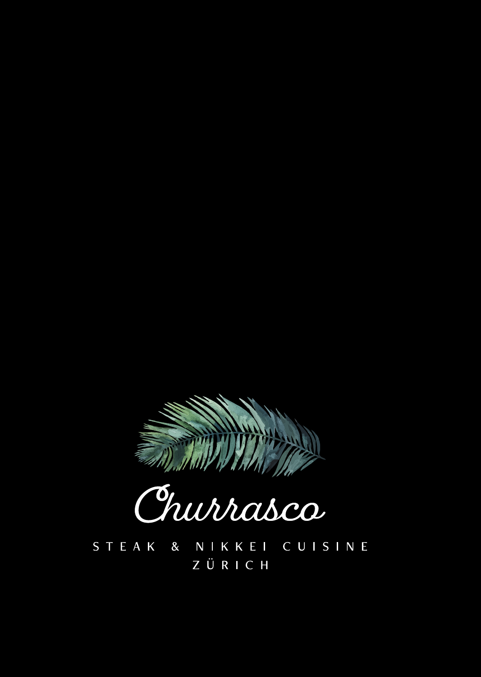

Churrasco

STEAK & NIKKEI CUISINE  $Z \, \ddot{\cup} \, R \, I \, C \, H$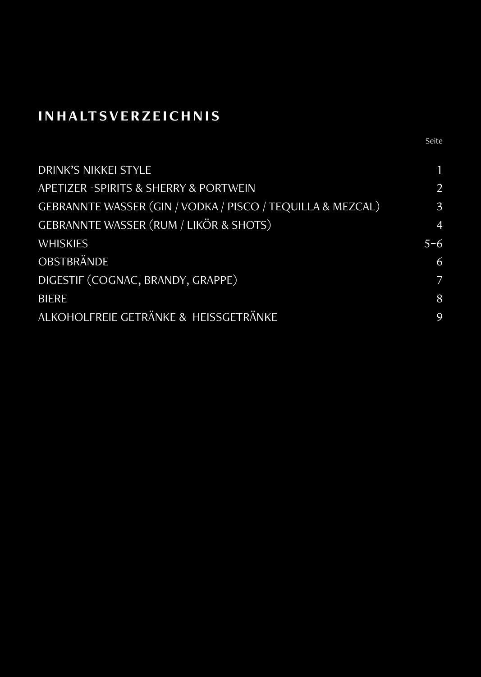### **INHALTSVERZEICHNIS**

| <b>DRINK'S NIKKEI STYLE</b>                                |                |
|------------------------------------------------------------|----------------|
| APETIZER - SPIRITS & SHERRY & PORTWEIN                     | 2              |
| GEBRANNTE WASSER (GIN / VODKA / PISCO / TEQUILLA & MEZCAL) | 3              |
| <b>GEBRANNTE WASSER (RUM / LIKÖR &amp; SHOTS)</b>          | $\overline{4}$ |
| <b>WHISKIES</b>                                            | $5 - 6$        |
| <b>OBSTBRÄNDE</b>                                          | 6              |
| DIGESTIF (COGNAC, BRANDY, GRAPPE)                          | 7              |
| <b>BIERE</b>                                               | 8              |
| ALKOHOLFREIE GETRÄNKE & HEISSGETRÄNKE                      | 9              |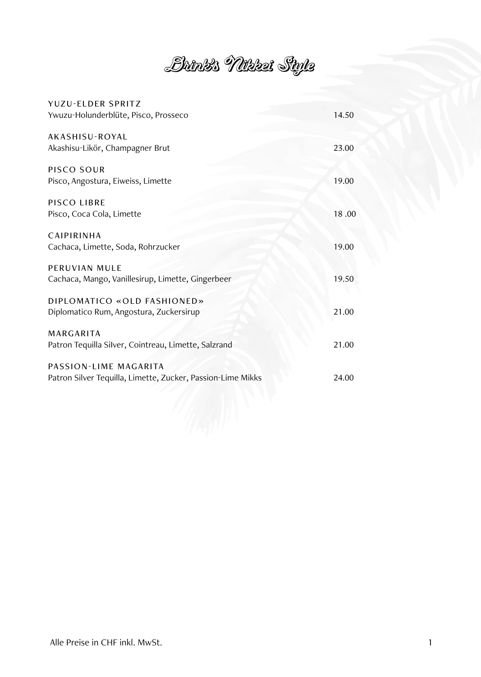# **Drink's Nikkei Style Drink's Nikkei Style**

| YUZU-ELDER SPRITZ<br>Ywuzu-Holunderblüte, Pisco, Prosseco                            | 14.50 |
|--------------------------------------------------------------------------------------|-------|
| AKASHISU-ROYAL<br>Akashisu-Likör, Champagner Brut                                    | 23.00 |
| PISCO SOUR<br>Pisco, Angostura, Eiweiss, Limette                                     | 19.00 |
| PISCO LIBRE<br>Pisco, Coca Cola, Limette                                             | 18.00 |
| CAIPIRINHA<br>Cachaca, Limette, Soda, Rohrzucker                                     | 19.00 |
| PERUVIAN MULE<br>Cachaca, Mango, Vanillesirup, Limette, Gingerbeer                   | 19.50 |
| DIPLOMATICO «OLD FASHIONED»<br>Diplomatico Rum, Angostura, Zuckersirup               | 21.00 |
| MARGARITA<br>Patron Tequilla Silver, Cointreau, Limette, Salzrand                    | 21.00 |
| PASSION-LIME MAGARITA<br>Patron Silver Tequilla, Limette, Zucker, Passion-Lime Mikks | 24.00 |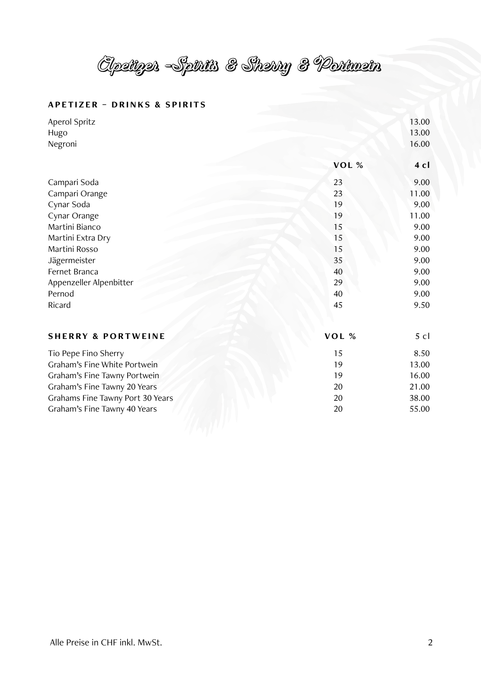**Apetizer -Spirits & Sherry & Portwein Apetizer -Spirits & Sherry & Portwein**

#### **APETIZER – DRINKS & SPIRITS**

| Aperol Spritz                    |       | 13.00           |
|----------------------------------|-------|-----------------|
| Hugo                             |       | 13.00           |
| Negroni                          |       | 16.00           |
|                                  | VOL % | 4 <sub>cl</sub> |
| Campari Soda                     | 23    | 9.00            |
| Campari Orange                   | 23    | 11.00           |
| Cynar Soda                       | 19    | 9.00            |
| Cynar Orange                     | 19    | 11.00           |
| Martini Bianco                   | 15    | 9.00            |
| Martini Extra Dry                | 15    | 9.00            |
| Martini Rosso                    | 15    | 9.00            |
| Jägermeister                     | 35    | 9.00            |
| Fernet Branca                    | 40    | 9.00            |
| Appenzeller Alpenbitter          | 29    | 9.00            |
| Pernod                           | 40    | 9.00            |
| Ricard                           | 45    | 9.50            |
|                                  |       |                 |
| <b>SHERRY &amp; PORTWEINE</b>    | VOL % | $5$ cl          |
| Tio Pepe Fino Sherry             | 15    | 8.50            |
| Graham's Fine White Portwein     | 19    | 13.00           |
| Graham's Fine Tawny Portwein     | 19    | 16.00           |
| Graham's Fine Tawny 20 Years     | 20    | 21.00           |
| Grahams Fine Tawny Port 30 Years | 20    | 38.00           |
| Graham's Fine Tawny 40 Years     | 20    | 55.00           |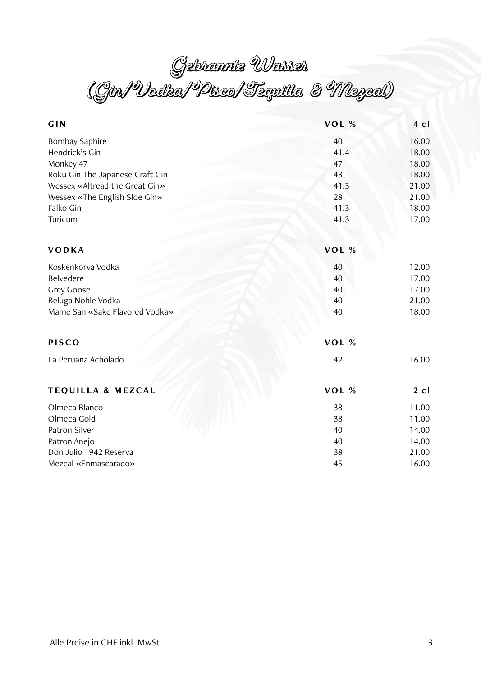#### **Gebrannte Wasser (Gin/Vodka/Pisco/Tequilla & Mezcal) Gebrannte Wasser (Gin/Vodka/Pisco/Tequilla & Mezcal)**

| GIN                             | VOL % | 4c1            |
|---------------------------------|-------|----------------|
| <b>Bombay Saphire</b>           | 40    | 16.00          |
| Hendrick's Gin                  | 41.4  | 18.00          |
| Monkey 47                       | 47    | 18.00          |
| Roku Gin The Japanese Craft Gin | 43    | 18.00          |
| Wessex «Altread the Great Gin»  | 41.3  | 21.00          |
| Wessex «The English Sloe Gin»   | 28    | 21.00          |
| Falko Gin                       | 41.3  | 18.00          |
| Turicum                         | 41.3  | 17.00          |
| <b>VODKA</b>                    | VOL % |                |
| Koskenkorva Vodka               | 40    | 12.00          |
| Belvedere                       | 40    | 17.00          |
| Grey Goose                      | 40    | 17.00          |
| Beluga Noble Vodka              | 40    | 21.00          |
| Mame San «Sake Flavored Vodka»  | 40    | 18.00          |
| PISCO                           | VOL % |                |
| La Peruana Acholado             | 42    | 16.00          |
| <b>TEQUILLA &amp; MEZCAL</b>    | VOL % | $2 \text{ cl}$ |
| Olmeca Blanco                   | 38    | 11.00          |
| Olmeca Gold                     | 38    | 11.00          |
| Patron Silver                   | 40    | 14.00          |
| Patron Anejo                    | 40    | 14.00          |
| Don Julio 1942 Reserva          | 38    | 21.00          |
| Mezcal «Enmascarado»            | 45    | 16.00          |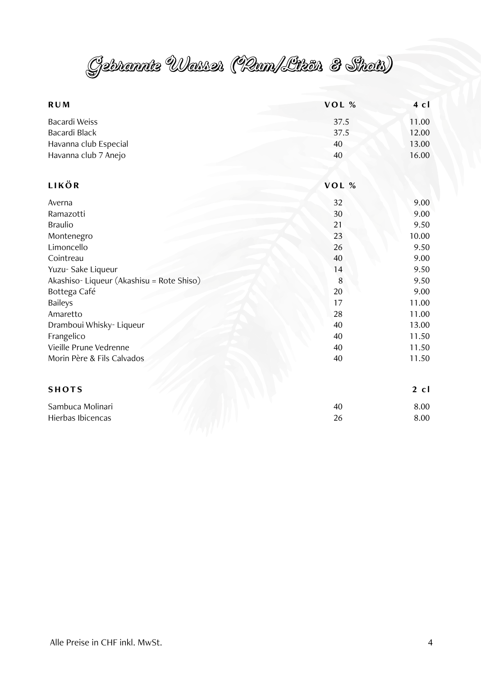**Gebrannte Wasser (Rum/Likör & Shots) Gebrannte Wasser (Rum/Likör & Shots)**

| <b>RUM</b>                                | VOL % | 4c1            |
|-------------------------------------------|-------|----------------|
| Bacardi Weiss                             | 37.5  | 11.00          |
| Bacardi Black                             | 37.5  | 12.00          |
| Havanna club Especial                     | 40    | 13.00          |
| Havanna club 7 Anejo                      | 40    | 16.00          |
|                                           |       |                |
| LIKÖR                                     | VOL % |                |
| Averna                                    | 32    | 9.00           |
| Ramazotti                                 | 30    | 9.00           |
| <b>Braulio</b>                            | 21    | 9.50           |
| Montenegro                                | 23    | 10.00          |
| Limoncello                                | 26    | 9.50           |
| Cointreau                                 | 40    | 9.00           |
| Yuzu- Sake Liqueur                        | 14    | 9.50           |
| Akashiso- Liqueur (Akashisu = Rote Shiso) | 8     | 9.50           |
| Bottega Café                              | 20    | 9.00           |
| Baileys                                   | 17    | 11.00          |
| Amaretto                                  | 28    | 11.00          |
| Dramboui Whisky- Liqueur                  | 40    | 13.00          |
| Frangelico                                | 40    | 11.50          |
| Vieille Prune Vedrenne                    | 40    | 11.50          |
| Morin Père & Fils Calvados                | 40    | 11.50          |
| <b>SHOTS</b>                              |       | $2 \text{ cl}$ |
| Sambuca Molinari                          | 40    | 8.00           |
| Hierbas Ibicencas                         | 26    | 8.00           |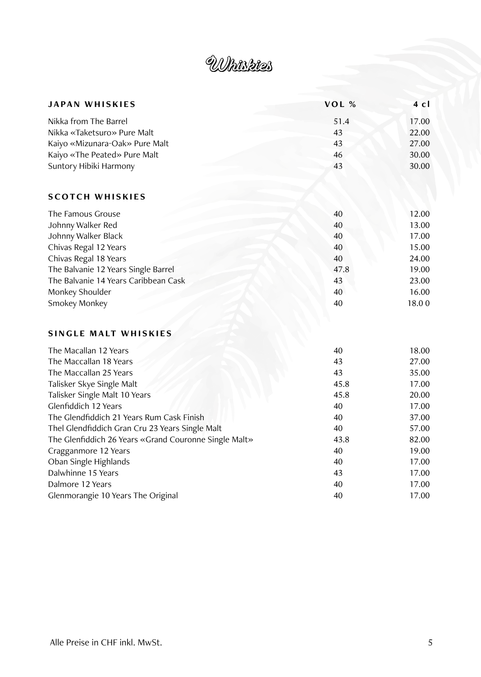## **Whiskies Whiskies**

| <b>JAPAN WHISKIES</b>                                 | VOL% | 4c1   |
|-------------------------------------------------------|------|-------|
| Nikka from The Barrel                                 | 51.4 | 17.00 |
| Nikka «Taketsuro» Pure Malt                           | 43   | 22.00 |
| Kaiyo «Mizunara-Oak» Pure Malt                        | 43   | 27.00 |
| Kaiyo «The Peated» Pure Malt                          | 46   | 30.00 |
| Suntory Hibiki Harmony                                | 43   | 30.00 |
| <b>SCOTCH WHISKIES</b>                                |      |       |
| The Famous Grouse                                     | 40   | 12.00 |
| Johnny Walker Red                                     | 40   | 13.00 |
| Johnny Walker Black                                   | 40   | 17.00 |
| Chivas Regal 12 Years                                 | 40   | 15.00 |
| Chivas Regal 18 Years                                 | 40   | 24.00 |
| The Balvanie 12 Years Single Barrel                   | 47.8 | 19.00 |
| The Balvanie 14 Years Caribbean Cask                  | 43   | 23.00 |
| Monkey Shoulder                                       | 40   | 16.00 |
| Smokey Monkey                                         | 40   | 18.00 |
| <b>SINGLE MALT WHISKIES</b>                           |      |       |
| The Macallan 12 Years                                 | 40   | 18.00 |
| The Maccallan 18 Years                                | 43   | 27.00 |
| The Maccallan 25 Years                                | 43   | 35.00 |
| Talisker Skye Single Malt                             | 45.8 | 17.00 |
| Talisker Single Malt 10 Years                         | 45.8 | 20.00 |
| Glenfiddich 12 Years                                  | 40   | 17.00 |
| The Glendfiddich 21 Years Rum Cask Finish             | 40   | 37.00 |
| Thel Glendfiddich Gran Cru 23 Years Single Malt       | 40   | 57.00 |
| The Glenfiddich 26 Years «Grand Couronne Single Malt» | 43.8 | 82.00 |
| Cragganmore 12 Years                                  | 40   | 19.00 |
| Oban Single Highlands                                 | 40   | 17.00 |
| Dalwhinne 15 Years                                    | 43   | 17.00 |
| Dalmore 12 Years                                      | 40   | 17.00 |
| Glenmorangie 10 Years The Original                    | 40   | 17.00 |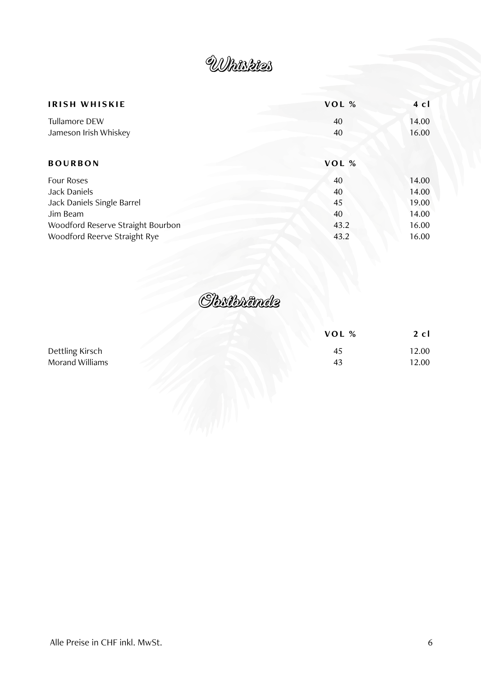## **Whiskies Whiskies**

| <b>IRISH WHISKIE</b>              | VOL %    | 4 <sub>c</sub> |
|-----------------------------------|----------|----------------|
| Tullamore DEW                     | 40<br>40 | 14.00<br>16.00 |
| Jameson Irish Whiskey             |          |                |
| <b>BOURBON</b>                    | VOL %    |                |
| <b>Four Roses</b>                 | 40       | 14.00          |
| Jack Daniels                      | 40       | 14.00          |
| Jack Daniels Single Barrel        | 45       | 19.00          |
| Jim Beam                          | 40       | 14.00          |
| Woodford Reserve Straight Bourbon | 43.2     | 16.00          |
| Woodford Reerve Straight Rye      | 43.2     | 16.00          |

**Obstbrände Obstbrände**

|                 | VOL% | $2 \text{ cl}$ |
|-----------------|------|----------------|
| Dettling Kirsch | 45   | 12.00          |
| Morand Williams | 43   | 12.00          |
|                 |      |                |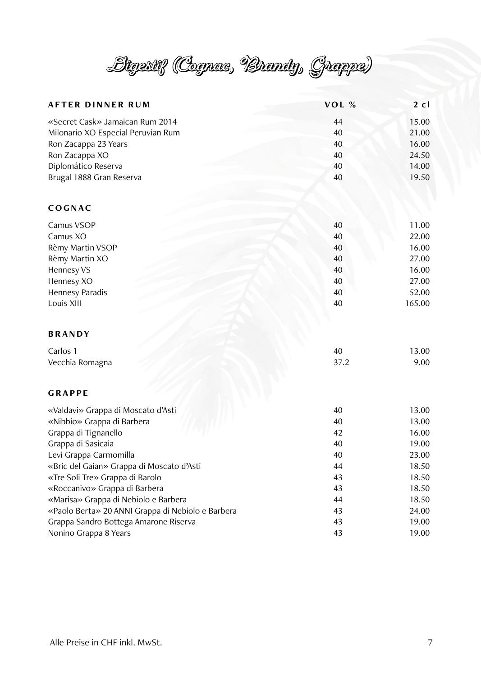**Digestif (Cognac, Brandy, Grappe) Digestif (Cognac, Brandy, Grappe)**

| <b>AFTER DINNER RUM</b>                           | VOL % | 2 c1   |
|---------------------------------------------------|-------|--------|
| «Secret Cask» Jamaican Rum 2014                   | 44    | 15.00  |
| Milonario XO Especial Peruvian Rum                | 40    | 21.00  |
| Ron Zacappa 23 Years                              | 40    | 16.00  |
| Ron Zacappa XO                                    | 40    | 24.50  |
| Diplomático Reserva                               | 40    | 14.00  |
| Brugal 1888 Gran Reserva                          | 40    | 19.50  |
| COGNAC                                            |       |        |
| Camus VSOP                                        | 40    | 11.00  |
| Camus XO                                          | 40    | 22.00  |
| Rèmy Martin VSOP                                  | 40    | 16.00  |
| Rèmy Martin XO                                    | 40    | 27.00  |
| Hennesy VS                                        | 40    | 16.00  |
| Hennesy XO                                        | 40    | 27.00  |
| Hennesy Paradis                                   | 40    | 52.00  |
| Louis XIII                                        | 40    | 165.00 |
| <b>BRANDY</b>                                     |       |        |
| Carlos 1                                          | 40    | 13.00  |
| Vecchia Romagna                                   | 37.2  | 9.00   |
| <b>GRAPPE</b>                                     |       |        |
| «Valdavi» Grappa di Moscato d'Asti                | 40    | 13.00  |
| «Nibbio» Grappa di Barbera                        | 40    | 13.00  |
| Grappa di Tignanello                              | 42    | 16.00  |
| Grappa di Sasicaia                                | 40    | 19.00  |
| Levi Grappa Carmomilla                            | 40    | 23.00  |
| «Bric del Gaian» Grappa di Moscato d'Asti         | 44    | 18.50  |
| «Tre Soli Tre» Grappa di Barolo                   | 43    | 18.50  |
| «Roccanivo» Grappa di Barbera                     | 43    | 18.50  |
| «Marisa» Grappa di Nebiolo e Barbera              | 44    | 18.50  |
| «Paolo Berta» 20 ANNI Grappa di Nebiolo e Barbera | 43    | 24.00  |
| Grappa Sandro Bottega Amarone Riserva             | 43    | 19.00  |
| Nonino Grappa 8 Years                             | 43    | 19.00  |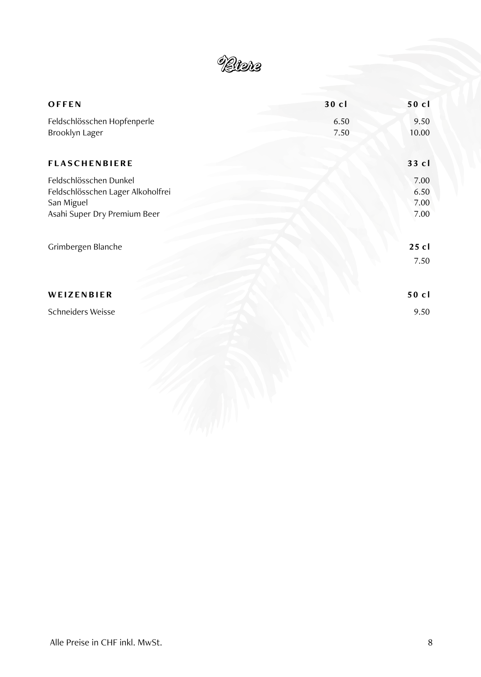### **Biere**

| OFFEN                                                                                                     | 30 cl        | 50 cl                        |
|-----------------------------------------------------------------------------------------------------------|--------------|------------------------------|
| Feldschlösschen Hopfenperle<br>Brooklyn Lager                                                             | 6.50<br>7.50 | 9.50<br>10.00                |
| <b>FLASCHENBIERE</b>                                                                                      |              | 33 cl                        |
| Feldschlösschen Dunkel<br>Feldschlösschen Lager Alkoholfrei<br>San Miguel<br>Asahi Super Dry Premium Beer |              | 7.00<br>6.50<br>7.00<br>7.00 |
| Grimbergen Blanche                                                                                        |              | 25 cl                        |
|                                                                                                           |              | 7.50                         |
| WEIZENBIER                                                                                                |              | 50 cl                        |
| Schneiders Weisse                                                                                         |              | 9.50                         |
|                                                                                                           |              |                              |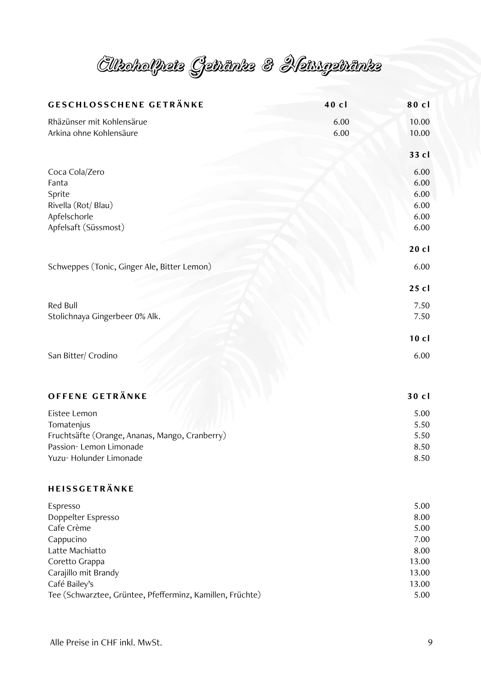**Alkoholfreie Getränke & Heissgetränke Alkoholfreie Getränke & Heissgetränke**

| <b>GESCHLOSSCHENE GETRÄNKE</b>                 | 40 cl | 80 cl   |
|------------------------------------------------|-------|---------|
| Rhäzünser mit Kohlensärue                      | 6.00  | 10.00   |
| Arkina ohne Kohlensäure                        | 6.00  | 10.00   |
|                                                |       | 33 cl   |
| Coca Cola/Zero                                 |       | 6.00    |
| Fanta                                          |       | 6.00    |
| Sprite                                         |       | 6.00    |
| Rivella (Rot/Blau)                             |       | 6.00    |
| Apfelschorle                                   |       | 6.00    |
| Apfelsaft (Süssmost)                           |       | 6.00    |
|                                                |       | 20c1    |
| Schweppes (Tonic, Ginger Ale, Bitter Lemon)    |       | 6.00    |
|                                                |       | $25$ cl |
| Red Bull                                       |       | 7.50    |
| Stolichnaya Gingerbeer 0% Alk.                 |       | 7.50    |
|                                                |       | 10c1    |
| San Bitter/ Crodino                            |       | 6.00    |
|                                                |       |         |
| OFFENE GETRÄNKE                                |       | 30 cl   |
| Eistee Lemon                                   |       | 5.00    |
| Tomatenjus                                     |       | 5.50    |
| Fruchtsäfte (Orange, Ananas, Mango, Cranberry) |       | 5.50    |
| Passion- Lemon Limonade                        |       | 8.50    |
| Yuzu- Holunder Limonade                        |       | 8.50    |
| HEISSGETRÄNKE                                  |       |         |
| Espresso                                       |       | 5.00    |
| Doppelter Espresso                             |       | 8.00    |
| Cafe Crème                                     |       | 5.00    |

| Cappucino                                                 | 7.00  |
|-----------------------------------------------------------|-------|
| Latte Machiatto                                           | 8.00  |
| Coretto Grappa                                            | 13.00 |
| Carajillo mit Brandy                                      | 13.00 |
| Café Bailey's                                             | 13.00 |
| Tee (Schwarztee, Grüntee, Pfefferminz, Kamillen, Früchte) | 5.00  |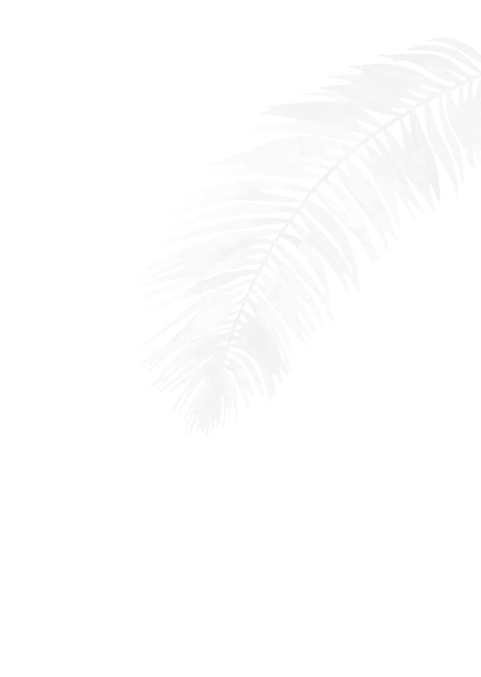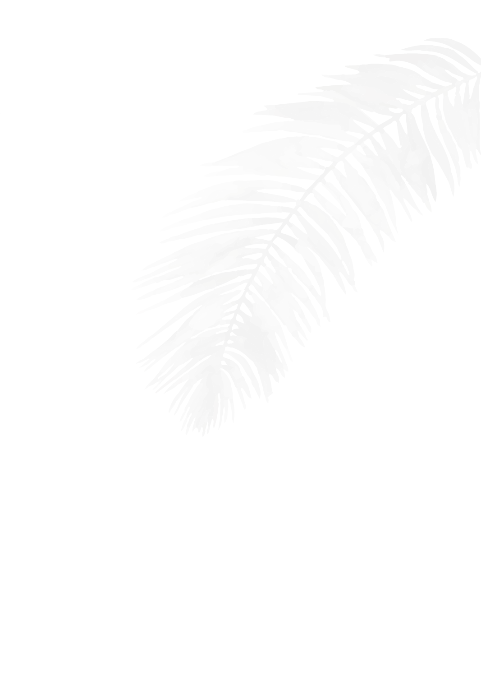